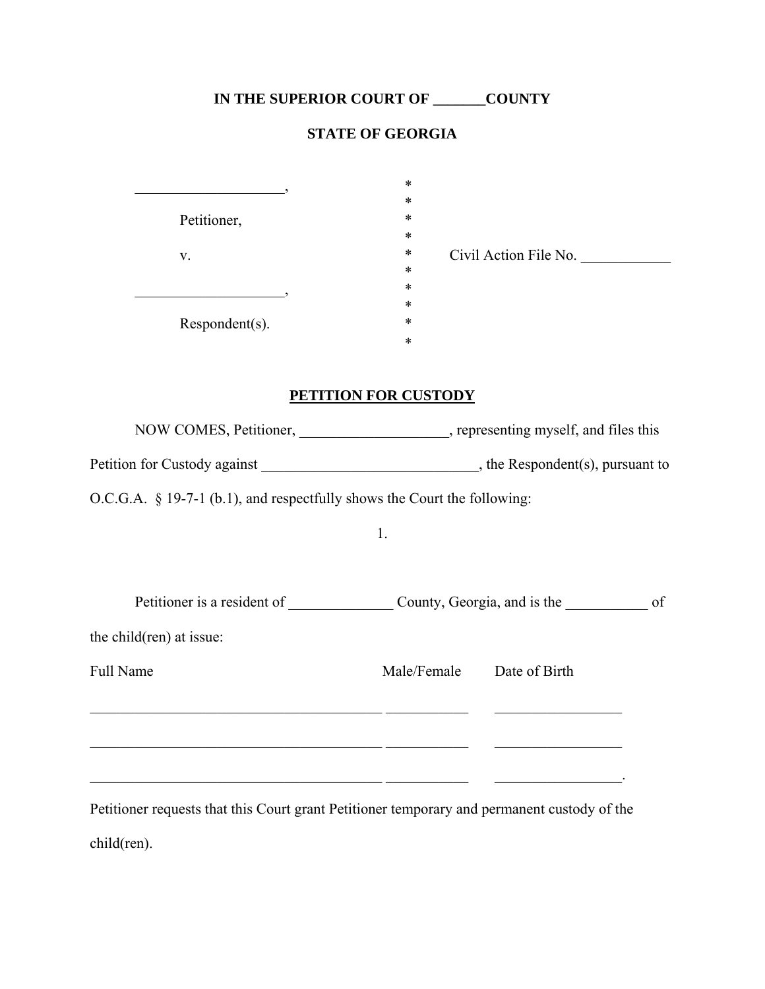## **IN THE SUPERIOR COURT OF \_\_\_\_\_\_\_COUNTY**

## **STATE OF GEORGIA**

|                | $\ast$                          |
|----------------|---------------------------------|
|                | $\ast$                          |
| Petitioner,    | $\ast$                          |
|                | $\ast$                          |
| V.             | $\ast$<br>Civil Action File No. |
|                | $\ast$                          |
|                | $\ast$                          |
|                | $\ast$                          |
| Respondent(s). | $\ast$                          |
|                | $\ast$                          |
|                |                                 |

## **PETITION FOR CUSTODY**

| NOW COMES, Petitioner, ____________________, representing myself, and files this                                                                                                                                                                                                                 |             |                                                                                                                      |
|--------------------------------------------------------------------------------------------------------------------------------------------------------------------------------------------------------------------------------------------------------------------------------------------------|-------------|----------------------------------------------------------------------------------------------------------------------|
|                                                                                                                                                                                                                                                                                                  |             |                                                                                                                      |
| $O.C.G.A. \S 19-7-1 (b.1)$ , and respectfully shows the Court the following:                                                                                                                                                                                                                     |             |                                                                                                                      |
|                                                                                                                                                                                                                                                                                                  | 1.          |                                                                                                                      |
|                                                                                                                                                                                                                                                                                                  |             |                                                                                                                      |
| Petitioner is a resident of County, Georgia, and is the                                                                                                                                                                                                                                          |             | of                                                                                                                   |
| the child(ren) at issue:                                                                                                                                                                                                                                                                         |             |                                                                                                                      |
| Full Name                                                                                                                                                                                                                                                                                        | Male/Female | Date of Birth                                                                                                        |
|                                                                                                                                                                                                                                                                                                  |             |                                                                                                                      |
| <u> 1990 - Jan James James James James James James James James James James James James James James James James J</u>                                                                                                                                                                             |             | <u> 1989 - Johann Stein, mars an deutscher Stein und der Stein und der Stein und der Stein und der Stein und der</u> |
|                                                                                                                                                                                                                                                                                                  |             |                                                                                                                      |
| $\mathbf{1}$ and $\mathbf{1}$ and $\mathbf{1}$ and $\mathbf{1}$ and $\mathbf{1}$ and $\mathbf{1}$ and $\mathbf{1}$ and $\mathbf{1}$ and $\mathbf{1}$ and $\mathbf{1}$ and $\mathbf{1}$ and $\mathbf{1}$ and $\mathbf{1}$ and $\mathbf{1}$ and $\mathbf{1}$ and $\mathbf{1}$ and $\mathbf{1}$ and |             |                                                                                                                      |

Petitioner requests that this Court grant Petitioner temporary and permanent custody of the child(ren).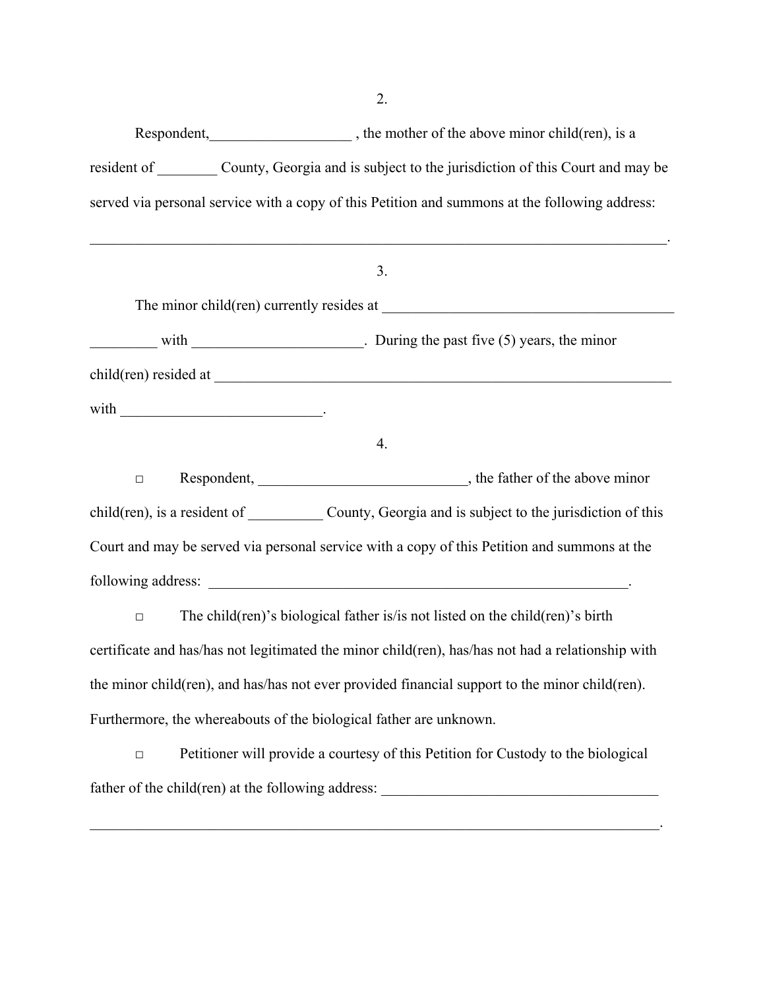Respondent, https://www.float.com/en/child(ren), is a statement of the above minor child(ren), is a resident of County, Georgia and is subject to the jurisdiction of this Court and may be served via personal service with a copy of this Petition and summons at the following address:

 $\mathcal{L}_\text{max}$  and  $\mathcal{L}_\text{max}$  and  $\mathcal{L}_\text{max}$  and  $\mathcal{L}_\text{max}$  and  $\mathcal{L}_\text{max}$  and  $\mathcal{L}_\text{max}$ 

# 3. The minor child(ren) currently resides at \_\_\_\_\_\_\_\_\_\_\_\_\_\_\_\_\_\_\_\_\_\_\_\_\_\_\_\_\_\_\_\_\_\_\_\_\_\_\_ with  $\blacksquare$  During the past five (5) years, the minor

child(ren) resided at \_\_\_\_\_\_\_\_\_\_\_\_\_\_\_\_\_\_\_\_\_\_\_\_\_\_\_\_\_\_\_\_\_\_\_\_\_\_\_\_\_\_\_\_\_\_\_\_\_\_\_\_\_\_\_\_\_\_\_\_\_

with  $\Box$ 

#### 4.

□ Respondent, \_\_\_\_\_\_\_\_\_\_\_\_\_\_\_\_\_\_\_\_\_\_\_\_\_\_\_\_, the father of the above minor child(ren), is a resident of County, Georgia and is subject to the jurisdiction of this Court and may be served via personal service with a copy of this Petition and summons at the following address: \_\_\_\_\_\_\_\_\_\_\_\_\_\_\_\_\_\_\_\_\_\_\_\_\_\_\_\_\_\_\_\_\_\_\_\_\_\_\_\_\_\_\_\_\_\_\_\_\_\_\_\_\_\_\_\_.

 $\Box$  The child(ren)'s biological father is/is not listed on the child(ren)'s birth certificate and has/has not legitimated the minor child(ren), has/has not had a relationship with the minor child(ren), and has/has not ever provided financial support to the minor child(ren). Furthermore, the whereabouts of the biological father are unknown.

 $\Box$  Petitioner will provide a courtesy of this Petition for Custody to the biological father of the child(ren) at the following address: \_\_\_\_\_\_\_\_\_\_\_\_\_\_\_\_\_\_\_\_\_\_\_\_\_\_\_\_\_\_

 $\mathcal{L}_\text{max}$  and  $\mathcal{L}_\text{max}$  and  $\mathcal{L}_\text{max}$  and  $\mathcal{L}_\text{max}$  and  $\mathcal{L}_\text{max}$  and  $\mathcal{L}_\text{max}$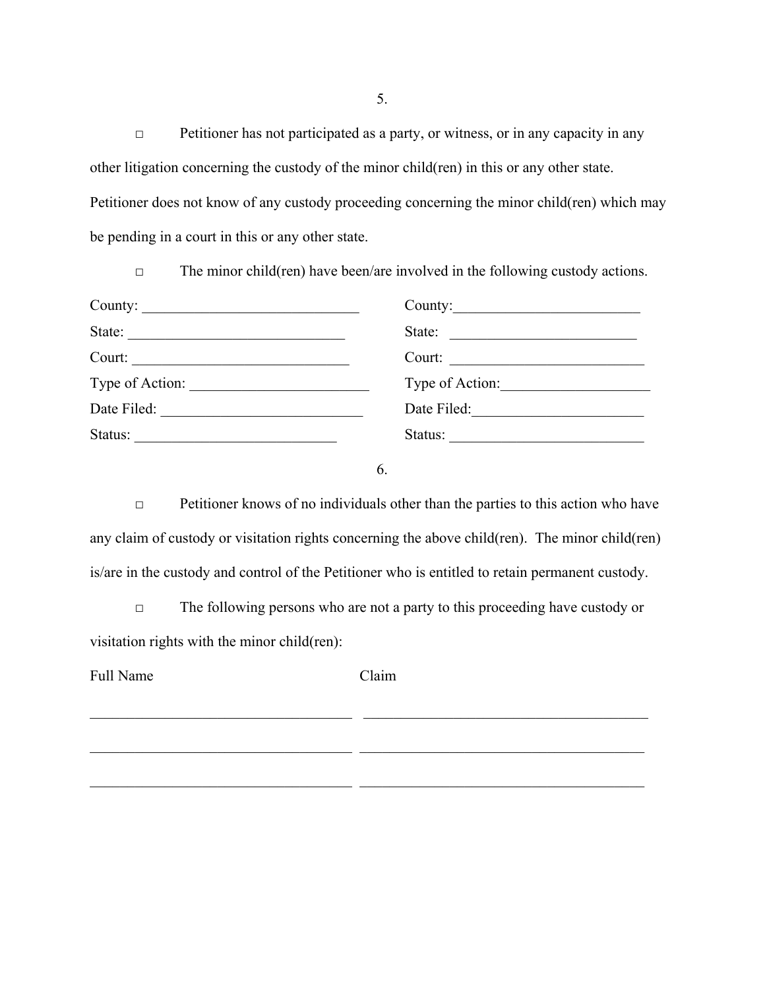□ Petitioner has not participated as a party, or witness, or in any capacity in any other litigation concerning the custody of the minor child(ren) in this or any other state. Petitioner does not know of any custody proceeding concerning the minor child(ren) which may be pending in a court in this or any other state.

| County: | County:                |
|---------|------------------------|
| State:  | State: $\qquad \qquad$ |
| Court:  |                        |
|         | Type of Action:        |
|         |                        |
| Status: | Status:                |

6.

 $\Box$  Petitioner knows of no individuals other than the parties to this action who have any claim of custody or visitation rights concerning the above child(ren). The minor child(ren) is/are in the custody and control of the Petitioner who is entitled to retain permanent custody.

□ The following persons who are not a party to this proceeding have custody or visitation rights with the minor child(ren):

Full Name Claim

 $\mathcal{L}_\text{max} = \frac{1}{2} \sum_{i=1}^n \mathcal{L}_\text{max}(\mathbf{x}_i - \mathbf{y}_i)$ 

 $\_$  , and the set of the set of the set of the set of the set of the set of the set of the set of the set of the set of the set of the set of the set of the set of the set of the set of the set of the set of the set of th

 $\_$  , and the set of the set of the set of the set of the set of the set of the set of the set of the set of the set of the set of the set of the set of the set of the set of the set of the set of the set of the set of th

5.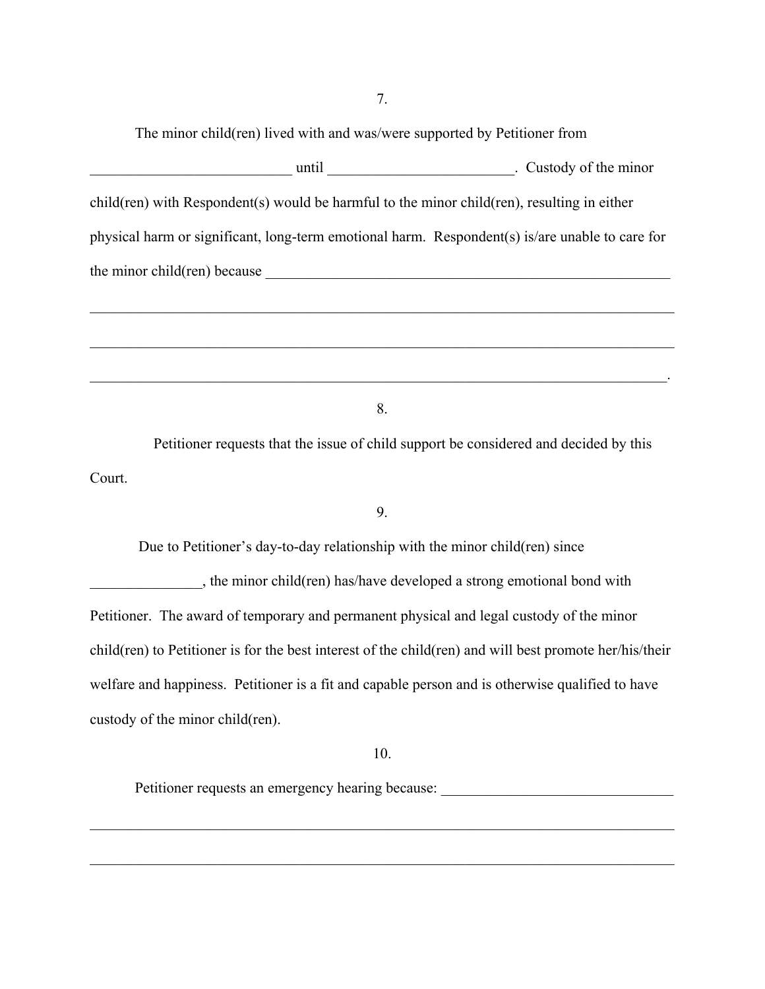The minor child(ren) lived with and was/were supported by Petitioner from

| until                                                                                           | . Custody of the minor |
|-------------------------------------------------------------------------------------------------|------------------------|
| child(ren) with Respondent(s) would be harmful to the minor child(ren), resulting in either     |                        |
| physical harm or significant, long-term emotional harm. Respondent(s) is/are unable to care for |                        |
| the minor child(ren) because                                                                    |                        |
|                                                                                                 |                        |

8.

 $\mathcal{L}_\mathcal{L} = \{ \mathcal{L}_\mathcal{L} = \{ \mathcal{L}_\mathcal{L} = \{ \mathcal{L}_\mathcal{L} = \{ \mathcal{L}_\mathcal{L} = \{ \mathcal{L}_\mathcal{L} = \{ \mathcal{L}_\mathcal{L} = \{ \mathcal{L}_\mathcal{L} = \{ \mathcal{L}_\mathcal{L} = \{ \mathcal{L}_\mathcal{L} = \{ \mathcal{L}_\mathcal{L} = \{ \mathcal{L}_\mathcal{L} = \{ \mathcal{L}_\mathcal{L} = \{ \mathcal{L}_\mathcal{L} = \{ \mathcal{L}_\mathcal{$ 

 $\mathcal{L}_\text{max}$  and  $\mathcal{L}_\text{max}$  and  $\mathcal{L}_\text{max}$  and  $\mathcal{L}_\text{max}$  and  $\mathcal{L}_\text{max}$  and  $\mathcal{L}_\text{max}$ 

 Petitioner requests that the issue of child support be considered and decided by this Court.

### 9.

Due to Petitioner's day-to-day relationship with the minor child(ren) since

\_\_\_\_\_\_\_\_\_\_\_\_\_\_\_, the minor child(ren) has/have developed a strong emotional bond with Petitioner. The award of temporary and permanent physical and legal custody of the minor child(ren) to Petitioner is for the best interest of the child(ren) and will best promote her/his/their welfare and happiness. Petitioner is a fit and capable person and is otherwise qualified to have custody of the minor child(ren).

10.

 $\_$  , and the contribution of the contribution of the contribution of the contribution of  $\mathcal{L}_\text{max}$ 

 $\_$  , and the contribution of the contribution of the contribution of the contribution of  $\mathcal{L}_\text{max}$ 

Petitioner requests an emergency hearing because: \_\_\_\_\_\_\_\_\_\_\_\_\_\_\_\_\_\_\_\_\_\_\_\_\_\_\_\_\_\_